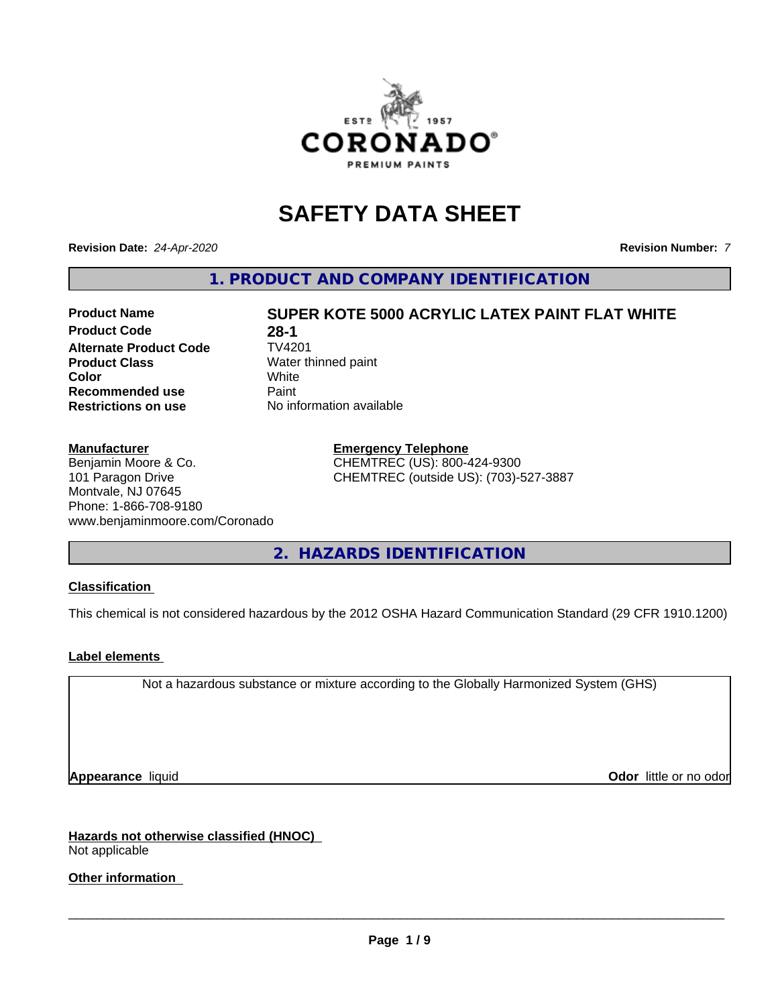

# **SAFETY DATA SHEET**

**Revision Date:** *24-Apr-2020* **Revision Number:** *7*

**1. PRODUCT AND COMPANY IDENTIFICATION**

**Product Code 28-1**<br>**Alternate Product Code 7V4201 Alternate Product Code Product Class** Water thinned paint<br> **Color** White **Color** White White **Recommended use** Paint **Restrictions on use** No information available

#### **Manufacturer**

Benjamin Moore & Co. 101 Paragon Drive Montvale, NJ 07645 Phone: 1-866-708-9180 www.benjaminmoore.com/Coronado

**Product Name SUPER KOTE 5000 ACRYLIC LATEX PAINT FLAT WHITE**

**Emergency Telephone**

CHEMTREC (US): 800-424-9300 CHEMTREC (outside US): (703)-527-3887

**2. HAZARDS IDENTIFICATION**

#### **Classification**

This chemical is not considered hazardous by the 2012 OSHA Hazard Communication Standard (29 CFR 1910.1200)

#### **Label elements**

Not a hazardous substance or mixture according to the Globally Harmonized System (GHS)

**Appearance** liquid **Contract Contract Contract Contract Contract Contract Contract Contract Contract Contract Contract Contract Contract Contract Contract Contract Contract Contract Contract Contract Contract Contract Con** 

**Hazards not otherwise classified (HNOC)** Not applicable

**Other information**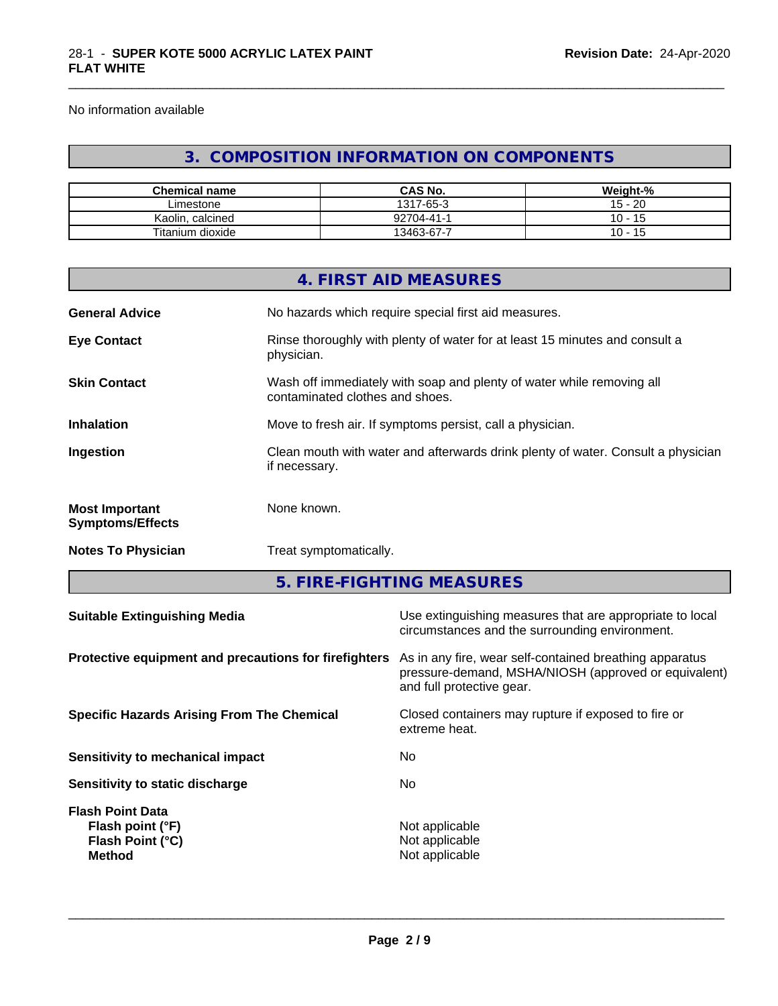No information available

## **3. COMPOSITION INFORMATION ON COMPONENTS**

\_\_\_\_\_\_\_\_\_\_\_\_\_\_\_\_\_\_\_\_\_\_\_\_\_\_\_\_\_\_\_\_\_\_\_\_\_\_\_\_\_\_\_\_\_\_\_\_\_\_\_\_\_\_\_\_\_\_\_\_\_\_\_\_\_\_\_\_\_\_\_\_\_\_\_\_\_\_\_\_\_\_\_\_\_\_\_\_\_\_\_\_\_

| <b>Chemical name</b> | <b>CAS No.</b>       | Weight-%                     |
|----------------------|----------------------|------------------------------|
| Limestone            | $7 - 65 - 3$<br>1317 | $15 - 20$                    |
| Kaolin<br>. calcined | 92704-41-            | $\overline{A}$<br>10<br>. .  |
| Titanium dioxide     | 13463-67-7           | 10 -<br>$\overline{A}$<br>ျ၁ |

| <b>Notes To Physician</b><br>Treat symptomatically.<br>5. FIRE-FIGHTING MEASURES                                                |  |  |
|---------------------------------------------------------------------------------------------------------------------------------|--|--|
|                                                                                                                                 |  |  |
|                                                                                                                                 |  |  |
| None known.<br><b>Most Important</b><br><b>Symptoms/Effects</b>                                                                 |  |  |
| Clean mouth with water and afterwards drink plenty of water. Consult a physician<br>Ingestion<br>if necessary.                  |  |  |
| Move to fresh air. If symptoms persist, call a physician.<br><b>Inhalation</b>                                                  |  |  |
| <b>Skin Contact</b><br>Wash off immediately with soap and plenty of water while removing all<br>contaminated clothes and shoes. |  |  |
| Rinse thoroughly with plenty of water for at least 15 minutes and consult a<br><b>Eye Contact</b><br>physician.                 |  |  |
| No hazards which require special first aid measures.<br><b>General Advice</b>                                                   |  |  |
| 4. FIRST AID MEASURES                                                                                                           |  |  |

| circumstances and the surrounding environment.                                                                                               |
|----------------------------------------------------------------------------------------------------------------------------------------------|
| As in any fire, wear self-contained breathing apparatus<br>pressure-demand, MSHA/NIOSH (approved or equivalent)<br>and full protective gear. |
| Closed containers may rupture if exposed to fire or<br>extreme heat.                                                                         |
| No                                                                                                                                           |
| No.                                                                                                                                          |
| Not applicable<br>Not applicable<br>Not applicable                                                                                           |
|                                                                                                                                              |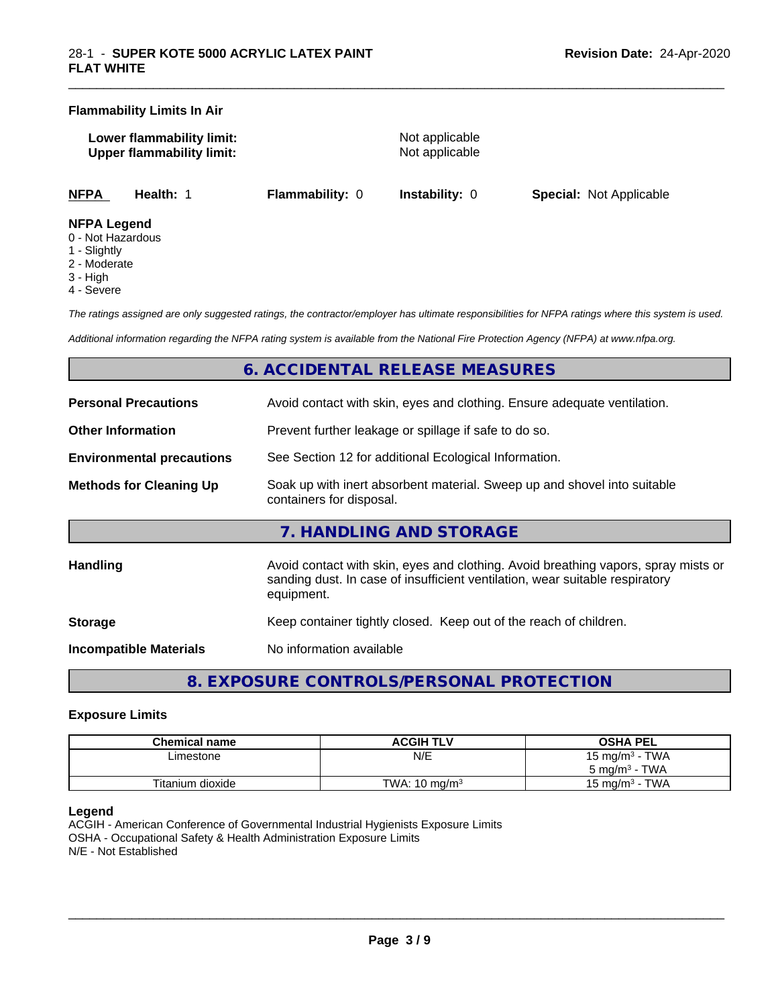#### **Flammability Limits In Air**

**Lower flammability limit:** Not applicable **Upper flammability limit:** Not applicable

\_\_\_\_\_\_\_\_\_\_\_\_\_\_\_\_\_\_\_\_\_\_\_\_\_\_\_\_\_\_\_\_\_\_\_\_\_\_\_\_\_\_\_\_\_\_\_\_\_\_\_\_\_\_\_\_\_\_\_\_\_\_\_\_\_\_\_\_\_\_\_\_\_\_\_\_\_\_\_\_\_\_\_\_\_\_\_\_\_\_\_\_\_

**NFPA Health:** 1 **Flammability:** 0 **Instability:** 0 **Special:** Not Applicable

#### **NFPA Legend**

- 0 Not Hazardous
- 1 Slightly
- 2 Moderate
- 3 High
- 4 Severe

*The ratings assigned are only suggested ratings, the contractor/employer has ultimate responsibilities for NFPA ratings where this system is used.*

*Additional information regarding the NFPA rating system is available from the National Fire Protection Agency (NFPA) at www.nfpa.org.*

## **6. ACCIDENTAL RELEASE MEASURES**

| <b>Personal Precautions</b>      | Avoid contact with skin, eyes and clothing. Ensure adequate ventilation.                                                                                                         |  |  |
|----------------------------------|----------------------------------------------------------------------------------------------------------------------------------------------------------------------------------|--|--|
| <b>Other Information</b>         | Prevent further leakage or spillage if safe to do so.                                                                                                                            |  |  |
| <b>Environmental precautions</b> | See Section 12 for additional Ecological Information.                                                                                                                            |  |  |
| <b>Methods for Cleaning Up</b>   | Soak up with inert absorbent material. Sweep up and shovel into suitable<br>containers for disposal.                                                                             |  |  |
|                                  | 7. HANDLING AND STORAGE                                                                                                                                                          |  |  |
| <b>Handling</b>                  | Avoid contact with skin, eyes and clothing. Avoid breathing vapors, spray mists or<br>sanding dust. In case of insufficient ventilation, wear suitable respiratory<br>equipment. |  |  |
| <b>Storage</b>                   | Keep container tightly closed. Keep out of the reach of children.                                                                                                                |  |  |
| <b>Incompatible Materials</b>    | No information available                                                                                                                                                         |  |  |

**8. EXPOSURE CONTROLS/PERSONAL PROTECTION**

#### **Exposure Limits**

| Chemical name    | <b>ACGIH TLV</b>         | <b>OSHA PEL</b>            |
|------------------|--------------------------|----------------------------|
| ∟imestone        | N/E                      | 15 mg/m <sup>3</sup> - TWA |
|                  |                          | $5 \text{ ma/m}^3$ - TWA   |
| Titanium dioxide | TWA: $10 \text{ ma/m}^3$ | · TWA<br>15 ma/m $3$       |

#### **Legend**

ACGIH - American Conference of Governmental Industrial Hygienists Exposure Limits OSHA - Occupational Safety & Health Administration Exposure Limits N/E - Not Established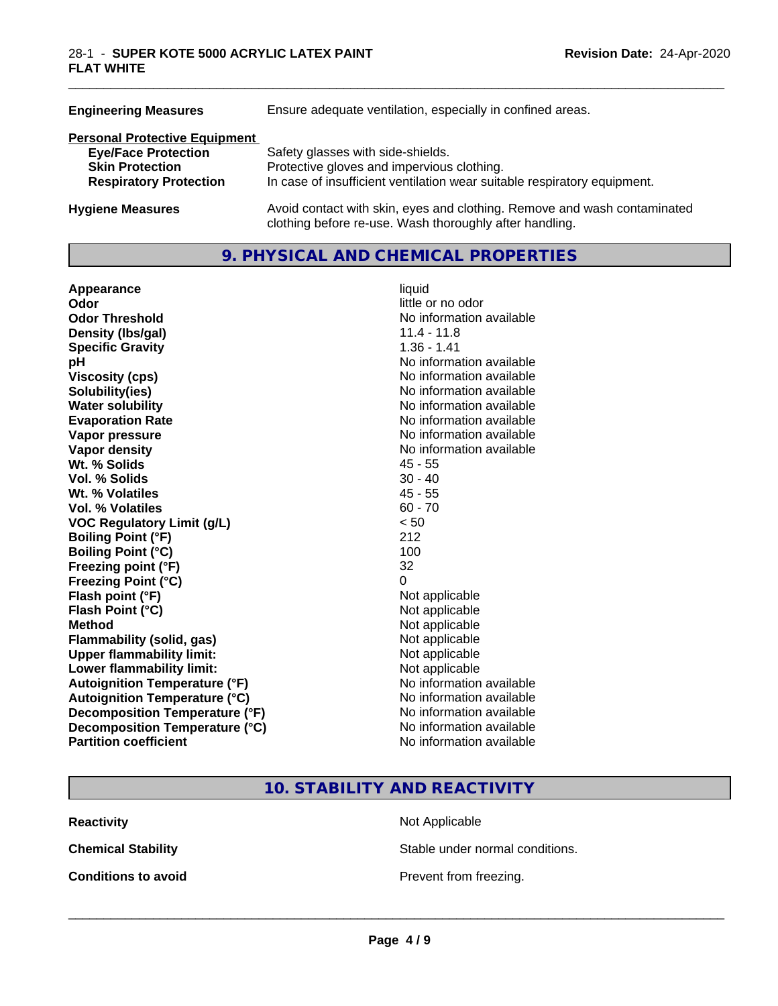| <b>Engineering Measures</b>          | Ensure adequate ventilation, especially in confined areas.                                                                          |  |  |
|--------------------------------------|-------------------------------------------------------------------------------------------------------------------------------------|--|--|
| <b>Personal Protective Equipment</b> |                                                                                                                                     |  |  |
| <b>Eye/Face Protection</b>           | Safety glasses with side-shields.                                                                                                   |  |  |
| <b>Skin Protection</b>               | Protective gloves and impervious clothing.                                                                                          |  |  |
| <b>Respiratory Protection</b>        | In case of insufficient ventilation wear suitable respiratory equipment.                                                            |  |  |
| <b>Hygiene Measures</b>              | Avoid contact with skin, eyes and clothing. Remove and wash contaminated<br>clothing before re-use. Wash thoroughly after handling. |  |  |

## **9. PHYSICAL AND CHEMICAL PROPERTIES**

| Appearance                           | liquid                   |  |
|--------------------------------------|--------------------------|--|
| Odor                                 | little or no odor        |  |
| <b>Odor Threshold</b>                | No information available |  |
| $11.4 - 11.8$<br>Density (Ibs/gal)   |                          |  |
| <b>Specific Gravity</b>              | $1.36 - 1.41$            |  |
| рH                                   | No information available |  |
| <b>Viscosity (cps)</b>               | No information available |  |
| Solubility(ies)                      | No information available |  |
| <b>Water solubility</b>              | No information available |  |
| <b>Evaporation Rate</b>              | No information available |  |
| Vapor pressure                       | No information available |  |
| Vapor density                        | No information available |  |
| Wt. % Solids                         | $45 - 55$                |  |
| Vol. % Solids                        | $30 - 40$                |  |
| Wt. % Volatiles                      | $45 - 55$                |  |
| Vol. % Volatiles                     | $60 - 70$                |  |
| <b>VOC Regulatory Limit (g/L)</b>    | < 50                     |  |
| <b>Boiling Point (°F)</b>            | 212                      |  |
| <b>Boiling Point (°C)</b>            | 100                      |  |
| Freezing point (°F)                  | 32                       |  |
| <b>Freezing Point (°C)</b>           | 0                        |  |
| Flash point (°F)                     | Not applicable           |  |
| Flash Point (°C)                     | Not applicable           |  |
| <b>Method</b>                        | Not applicable           |  |
| <b>Flammability (solid, gas)</b>     | Not applicable           |  |
| <b>Upper flammability limit:</b>     | Not applicable           |  |
| Lower flammability limit:            | Not applicable           |  |
| <b>Autoignition Temperature (°F)</b> | No information available |  |
| <b>Autoignition Temperature (°C)</b> | No information available |  |
| Decomposition Temperature (°F)       | No information available |  |
| Decomposition Temperature (°C)       | No information available |  |
| <b>Partition coefficient</b>         | No information available |  |

\_\_\_\_\_\_\_\_\_\_\_\_\_\_\_\_\_\_\_\_\_\_\_\_\_\_\_\_\_\_\_\_\_\_\_\_\_\_\_\_\_\_\_\_\_\_\_\_\_\_\_\_\_\_\_\_\_\_\_\_\_\_\_\_\_\_\_\_\_\_\_\_\_\_\_\_\_\_\_\_\_\_\_\_\_\_\_\_\_\_\_\_\_

**10. STABILITY AND REACTIVITY**

**Reactivity** Not Applicable

**Chemical Stability Stable under normal conditions.** 

**Conditions to avoid Conditions to avoid Prevent from freezing.**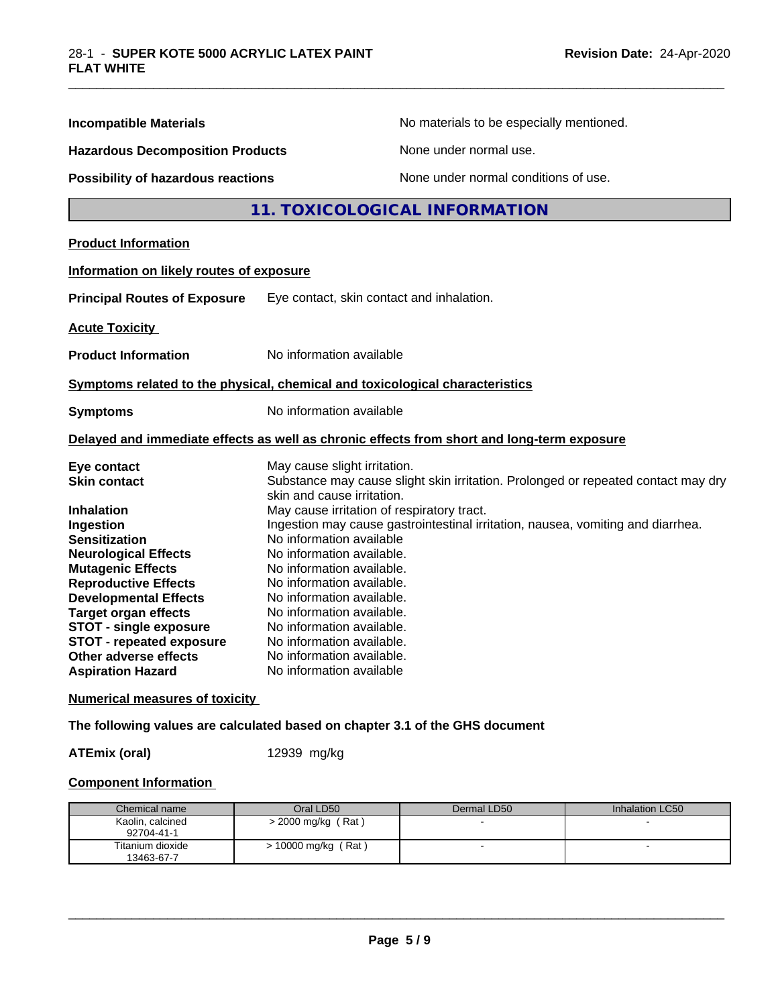| <b>Incompatible Materials</b><br><b>Hazardous Decomposition Products</b><br><b>Possibility of hazardous reactions</b>                                                                                                                            | No materials to be especially mentioned.<br>None under normal use.                                                                                                                                                                                                                                                                                                   |
|--------------------------------------------------------------------------------------------------------------------------------------------------------------------------------------------------------------------------------------------------|----------------------------------------------------------------------------------------------------------------------------------------------------------------------------------------------------------------------------------------------------------------------------------------------------------------------------------------------------------------------|
|                                                                                                                                                                                                                                                  |                                                                                                                                                                                                                                                                                                                                                                      |
|                                                                                                                                                                                                                                                  |                                                                                                                                                                                                                                                                                                                                                                      |
|                                                                                                                                                                                                                                                  | None under normal conditions of use.                                                                                                                                                                                                                                                                                                                                 |
|                                                                                                                                                                                                                                                  | 11. TOXICOLOGICAL INFORMATION                                                                                                                                                                                                                                                                                                                                        |
| <b>Product Information</b>                                                                                                                                                                                                                       |                                                                                                                                                                                                                                                                                                                                                                      |
| Information on likely routes of exposure                                                                                                                                                                                                         |                                                                                                                                                                                                                                                                                                                                                                      |
| <b>Principal Routes of Exposure</b>                                                                                                                                                                                                              | Eye contact, skin contact and inhalation.                                                                                                                                                                                                                                                                                                                            |
| <b>Acute Toxicity</b>                                                                                                                                                                                                                            |                                                                                                                                                                                                                                                                                                                                                                      |
| <b>Product Information</b>                                                                                                                                                                                                                       | No information available                                                                                                                                                                                                                                                                                                                                             |
|                                                                                                                                                                                                                                                  | Symptoms related to the physical, chemical and toxicological characteristics                                                                                                                                                                                                                                                                                         |
| <b>Symptoms</b>                                                                                                                                                                                                                                  | No information available                                                                                                                                                                                                                                                                                                                                             |
|                                                                                                                                                                                                                                                  | Delayed and immediate effects as well as chronic effects from short and long-term exposure                                                                                                                                                                                                                                                                           |
| Eye contact<br><b>Skin contact</b>                                                                                                                                                                                                               | May cause slight irritation.<br>Substance may cause slight skin irritation. Prolonged or repeated contact may dry<br>skin and cause irritation.                                                                                                                                                                                                                      |
| <b>Inhalation</b><br>Ingestion<br><b>Sensitization</b><br><b>Neurological Effects</b><br><b>Mutagenic Effects</b><br><b>Reproductive Effects</b><br><b>Developmental Effects</b><br><b>Target organ effects</b><br><b>STOT - single exposure</b> | May cause irritation of respiratory tract.<br>Ingestion may cause gastrointestinal irritation, nausea, vomiting and diarrhea.<br>No information available<br>No information available.<br>No information available.<br>No information available.<br>No information available.<br>No information available.<br>No information available.<br>No information available. |

\_\_\_\_\_\_\_\_\_\_\_\_\_\_\_\_\_\_\_\_\_\_\_\_\_\_\_\_\_\_\_\_\_\_\_\_\_\_\_\_\_\_\_\_\_\_\_\_\_\_\_\_\_\_\_\_\_\_\_\_\_\_\_\_\_\_\_\_\_\_\_\_\_\_\_\_\_\_\_\_\_\_\_\_\_\_\_\_\_\_\_\_\_

**Numerical measures of toxicity**

**The following values are calculated based on chapter 3.1 of the GHS document**

**ATEmix (oral)** 12939 mg/kg

#### **Component Information**

| Chemical name                  | Oral LD50           | Dermal LD50 | Inhalation LC50 |
|--------------------------------|---------------------|-------------|-----------------|
| Kaolin, calcined<br>92704-41-1 | > 2000 mg/kg (Rat)  |             |                 |
| Titanium dioxide<br>13463-67-7 | > 10000 mg/kg (Rat) |             | -               |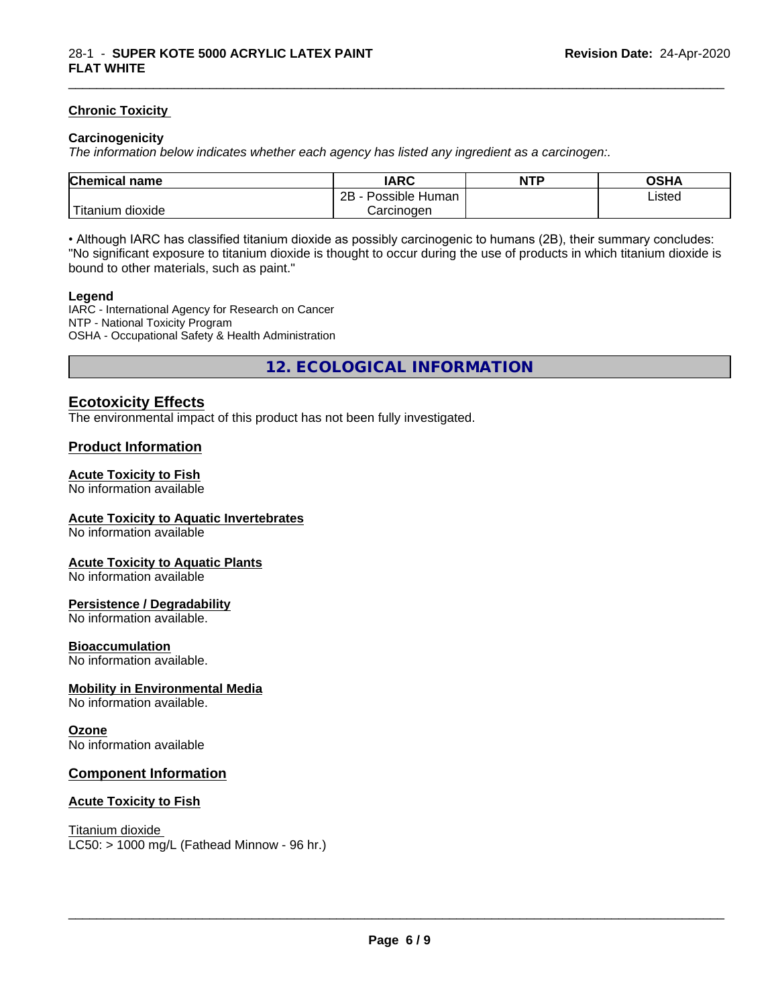#### **Chronic Toxicity**

#### **Carcinogenicity**

*The information below indicateswhether each agency has listed any ingredient as a carcinogen:.*

| <b>Chemical</b><br>name    | <b>IARC</b>                    | <b>NTP</b> | OSHA   |
|----------------------------|--------------------------------|------------|--------|
|                            | . .<br>2B<br>Human<br>Possible |            | Listed |
| .<br>. dioxide<br>⊺itanium | Carcinogen                     |            |        |

\_\_\_\_\_\_\_\_\_\_\_\_\_\_\_\_\_\_\_\_\_\_\_\_\_\_\_\_\_\_\_\_\_\_\_\_\_\_\_\_\_\_\_\_\_\_\_\_\_\_\_\_\_\_\_\_\_\_\_\_\_\_\_\_\_\_\_\_\_\_\_\_\_\_\_\_\_\_\_\_\_\_\_\_\_\_\_\_\_\_\_\_\_

• Although IARC has classified titanium dioxide as possibly carcinogenic to humans (2B), their summary concludes: "No significant exposure to titanium dioxide is thought to occur during the use of products in which titanium dioxide is bound to other materials, such as paint."

#### **Legend**

IARC - International Agency for Research on Cancer NTP - National Toxicity Program OSHA - Occupational Safety & Health Administration

**12. ECOLOGICAL INFORMATION**

### **Ecotoxicity Effects**

The environmental impact of this product has not been fully investigated.

#### **Product Information**

#### **Acute Toxicity to Fish**

No information available

#### **Acute Toxicity to Aquatic Invertebrates**

No information available

#### **Acute Toxicity to Aquatic Plants**

No information available

#### **Persistence / Degradability**

No information available.

#### **Bioaccumulation**

No information available.

#### **Mobility in Environmental Media**

No information available.

#### **Ozone**

No information available

#### **Component Information**

#### **Acute Toxicity to Fish**

Titanium dioxide  $LC50:$  > 1000 mg/L (Fathead Minnow - 96 hr.)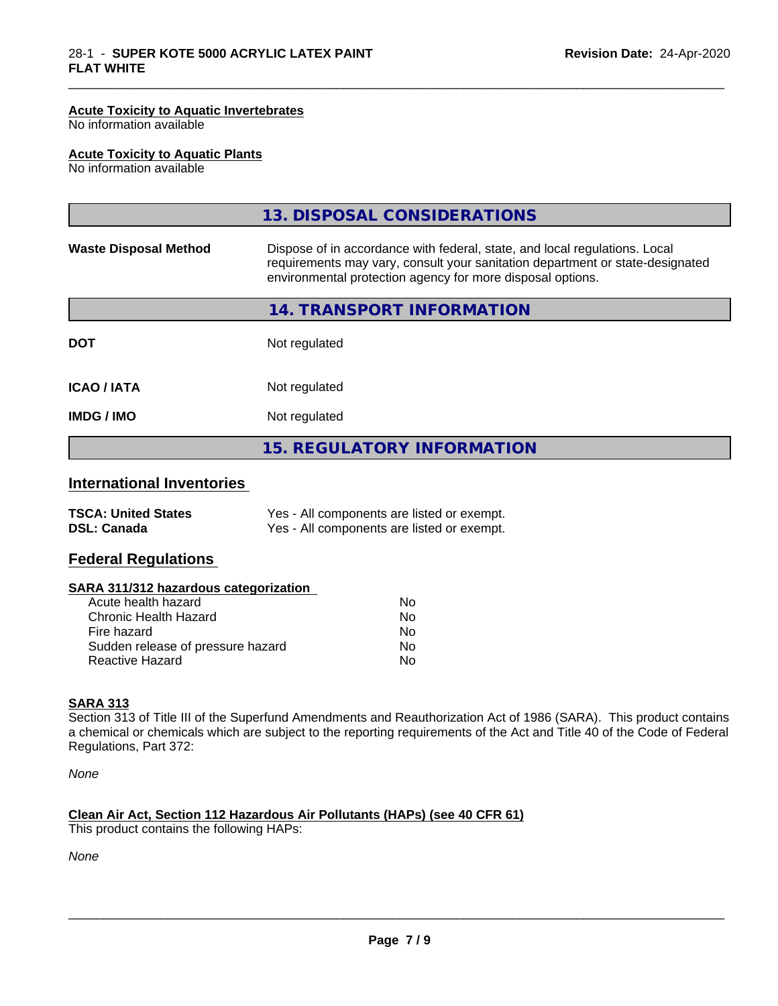#### **Acute Toxicity to Aquatic Invertebrates**

No information available

#### **Acute Toxicity to Aquatic Plants**

No information available

|                              | 13. DISPOSAL CONSIDERATIONS                                                                                                                                                                                               |
|------------------------------|---------------------------------------------------------------------------------------------------------------------------------------------------------------------------------------------------------------------------|
| <b>Waste Disposal Method</b> | Dispose of in accordance with federal, state, and local regulations. Local<br>requirements may vary, consult your sanitation department or state-designated<br>environmental protection agency for more disposal options. |
|                              | 14. TRANSPORT INFORMATION                                                                                                                                                                                                 |
| <b>DOT</b>                   | Not regulated                                                                                                                                                                                                             |
| <b>ICAO/IATA</b>             | Not regulated                                                                                                                                                                                                             |
| <b>IMDG/IMO</b>              | Not regulated                                                                                                                                                                                                             |
|                              | <b>15. REGULATORY INFORMATION</b>                                                                                                                                                                                         |

\_\_\_\_\_\_\_\_\_\_\_\_\_\_\_\_\_\_\_\_\_\_\_\_\_\_\_\_\_\_\_\_\_\_\_\_\_\_\_\_\_\_\_\_\_\_\_\_\_\_\_\_\_\_\_\_\_\_\_\_\_\_\_\_\_\_\_\_\_\_\_\_\_\_\_\_\_\_\_\_\_\_\_\_\_\_\_\_\_\_\_\_\_

## **International Inventories**

| <b>TSCA: United States</b> | Yes - All components are listed or exempt. |
|----------------------------|--------------------------------------------|
| <b>DSL: Canada</b>         | Yes - All components are listed or exempt. |

## **Federal Regulations**

#### **SARA 311/312 hazardous categorization**

| Acute health hazard               | No |  |
|-----------------------------------|----|--|
| Chronic Health Hazard             | Nο |  |
| Fire hazard                       | N٥ |  |
| Sudden release of pressure hazard | Nο |  |
| Reactive Hazard                   | Nο |  |

#### **SARA 313**

Section 313 of Title III of the Superfund Amendments and Reauthorization Act of 1986 (SARA). This product contains a chemical or chemicals which are subject to the reporting requirements of the Act and Title 40 of the Code of Federal Regulations, Part 372:

*None*

#### **Clean Air Act,Section 112 Hazardous Air Pollutants (HAPs) (see 40 CFR 61)**

This product contains the following HAPs:

*None*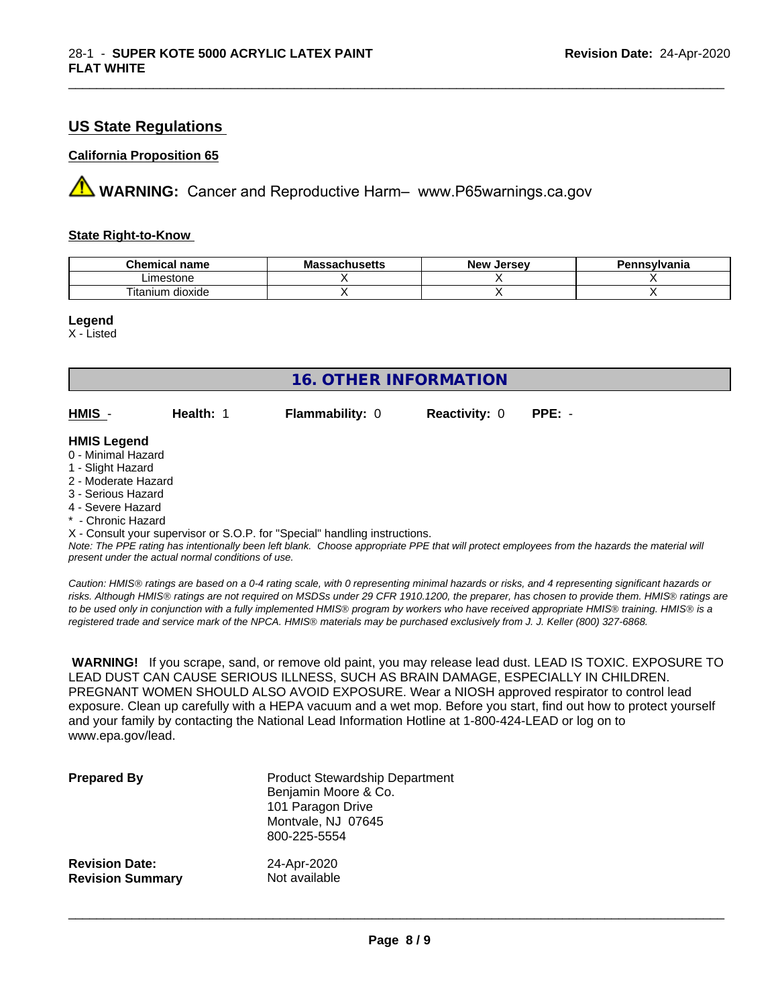## **US State Regulations**

#### **California Proposition 65**

**AVIMARNING:** Cancer and Reproductive Harm– www.P65warnings.ca.gov

#### **State Right-to-Know**

| Chemic<br>name<br>ешкаг     | - -<br>$-1000$<br>IVIa<br>aunuscus | <b>Jerse</b> v<br><b>Nev</b> | avlvan<br>anıa |
|-----------------------------|------------------------------------|------------------------------|----------------|
| imactone<br>estone          |                                    |                              |                |
| <br>dioxide<br>um<br>itanit |                                    |                              |                |

\_\_\_\_\_\_\_\_\_\_\_\_\_\_\_\_\_\_\_\_\_\_\_\_\_\_\_\_\_\_\_\_\_\_\_\_\_\_\_\_\_\_\_\_\_\_\_\_\_\_\_\_\_\_\_\_\_\_\_\_\_\_\_\_\_\_\_\_\_\_\_\_\_\_\_\_\_\_\_\_\_\_\_\_\_\_\_\_\_\_\_\_\_

**Legend**

X - Listed

| <b>16. OTHER INFORMATION</b>                                                                                                                                                                                |           |                                                                            |                      |                                                                                                                                               |
|-------------------------------------------------------------------------------------------------------------------------------------------------------------------------------------------------------------|-----------|----------------------------------------------------------------------------|----------------------|-----------------------------------------------------------------------------------------------------------------------------------------------|
| HMIS -                                                                                                                                                                                                      | Health: 1 | <b>Flammability: 0</b>                                                     | <b>Reactivity: 0</b> | $PPE: -$                                                                                                                                      |
| <b>HMIS Legend</b><br>0 - Minimal Hazard<br>1 - Slight Hazard<br>2 - Moderate Hazard<br>3 - Serious Hazard<br>4 - Severe Hazard<br>* - Chronic Hazard<br>present under the actual normal conditions of use. |           | X - Consult your supervisor or S.O.P. for "Special" handling instructions. |                      | Note: The PPE rating has intentionally been left blank. Choose appropriate PPE that will protect employees from the hazards the material will |

*Caution: HMISÒ ratings are based on a 0-4 rating scale, with 0 representing minimal hazards or risks, and 4 representing significant hazards or risks. Although HMISÒ ratings are not required on MSDSs under 29 CFR 1910.1200, the preparer, has chosen to provide them. HMISÒ ratings are to be used only in conjunction with a fully implemented HMISÒ program by workers who have received appropriate HMISÒ training. HMISÒ is a registered trade and service mark of the NPCA. HMISÒ materials may be purchased exclusively from J. J. Keller (800) 327-6868.*

 **WARNING!** If you scrape, sand, or remove old paint, you may release lead dust. LEAD IS TOXIC. EXPOSURE TO LEAD DUST CAN CAUSE SERIOUS ILLNESS, SUCH AS BRAIN DAMAGE, ESPECIALLY IN CHILDREN. PREGNANT WOMEN SHOULD ALSO AVOID EXPOSURE. Wear a NIOSH approved respirator to control lead exposure. Clean up carefully with a HEPA vacuum and a wet mop. Before you start, find out how to protect yourself and your family by contacting the National Lead Information Hotline at 1-800-424-LEAD or log on to www.epa.gov/lead.

| <b>Prepared By</b>      | <b>Product Stewardship Department</b><br>Benjamin Moore & Co.<br>101 Paragon Drive<br>Montvale, NJ 07645<br>800-225-5554 |
|-------------------------|--------------------------------------------------------------------------------------------------------------------------|
| <b>Revision Date:</b>   | 24-Apr-2020                                                                                                              |
| <b>Revision Summary</b> | Not available                                                                                                            |